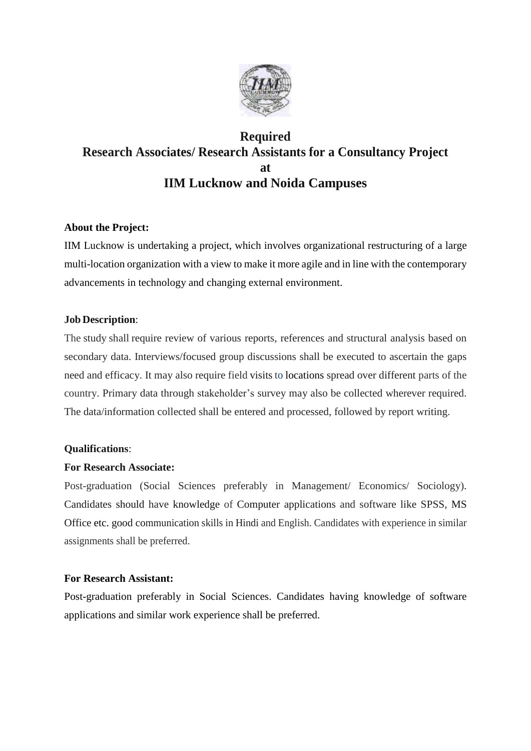

# **Required Research Associates/ Research Assistants for a Consultancy Project at IIM Lucknow and Noida Campuses**

## **About the Project:**

IIM Lucknow is undertaking a project, which involves organizational restructuring of a large multi-location organization with a view to make it more agile and in line with the contemporary advancements in technology and changing external environment.

## **Job Description**:

The study shall require review of various reports, references and structural analysis based on secondary data. Interviews/focused group discussions shall be executed to ascertain the gaps need and efficacy. It may also require field visits to locations spread over different parts of the country. Primary data through stakeholder's survey may also be collected wherever required. The data/information collected shall be entered and processed, followed by report writing.

## **Qualifications**:

## **For Research Associate:**

Post-graduation (Social Sciences preferably in Management/ Economics/ Sociology). Candidates should have knowledge of Computer applications and software like SPSS, MS Office etc. good communication skills in Hindi and English. Candidates with experience in similar assignments shall be preferred.

#### **For Research Assistant:**

Post-graduation preferably in Social Sciences. Candidates having knowledge of software applications and similar work experience shall be preferred.